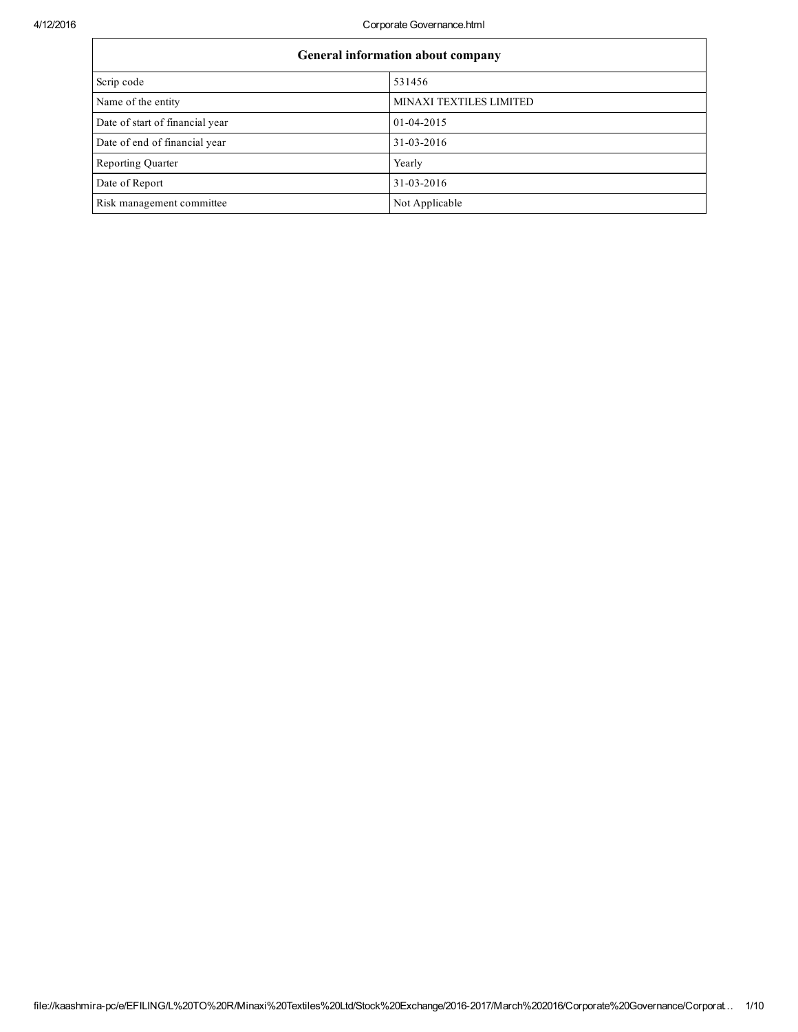4/12/2016 Corporate Governance.html

| <b>General information about company</b> |                                |  |  |
|------------------------------------------|--------------------------------|--|--|
| Scrip code                               | 531456                         |  |  |
| Name of the entity                       | <b>MINAXI TEXTILES LIMITED</b> |  |  |
| Date of start of financial year          | 01-04-2015                     |  |  |
| Date of end of financial year            | 31-03-2016                     |  |  |
| Reporting Quarter                        | Yearly                         |  |  |
| Date of Report                           | 31-03-2016                     |  |  |
| Risk management committee                | Not Applicable                 |  |  |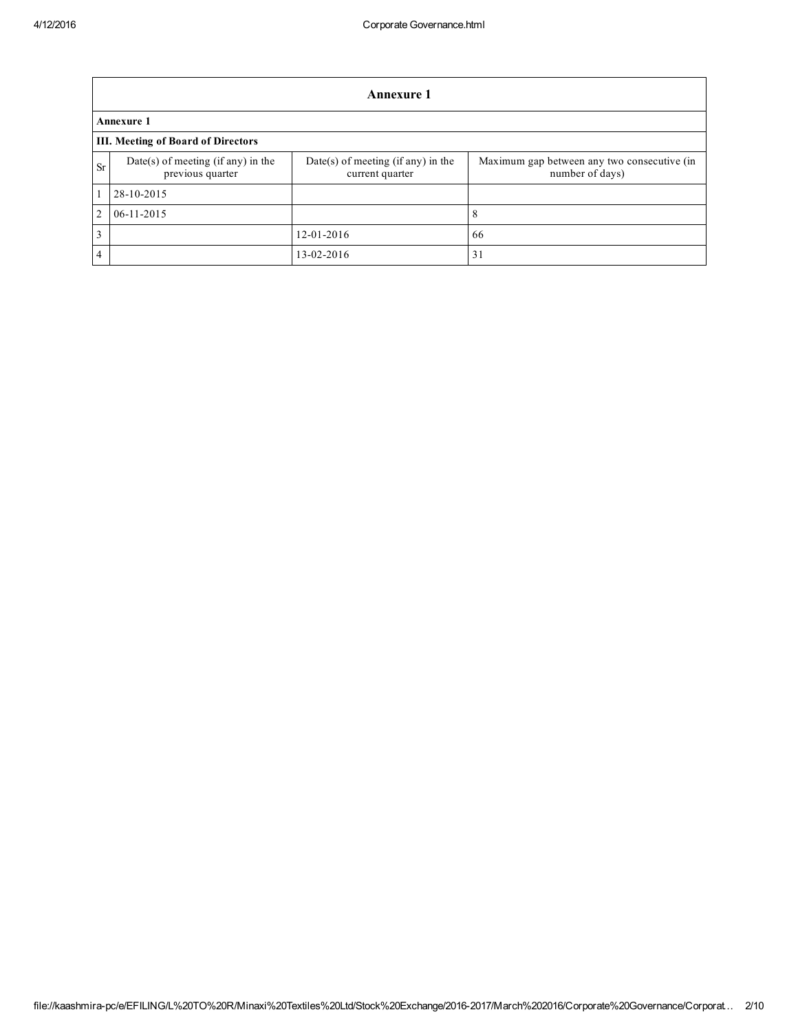|                | <b>Annexure 1</b>                                      |                                                       |                                                                |  |  |  |
|----------------|--------------------------------------------------------|-------------------------------------------------------|----------------------------------------------------------------|--|--|--|
|                | Annexure 1                                             |                                                       |                                                                |  |  |  |
|                | <b>III. Meeting of Board of Directors</b>              |                                                       |                                                                |  |  |  |
| <b>Sr</b>      | Date(s) of meeting (if any) in the<br>previous quarter | Date(s) of meeting (if any) in the<br>current quarter | Maximum gap between any two consecutive (in<br>number of days) |  |  |  |
|                | 28-10-2015                                             |                                                       |                                                                |  |  |  |
| 2              | $06 - 11 - 2015$                                       |                                                       | 8                                                              |  |  |  |
| 3              |                                                        | 12-01-2016                                            | 66                                                             |  |  |  |
| $\overline{4}$ |                                                        | 13-02-2016                                            | 31                                                             |  |  |  |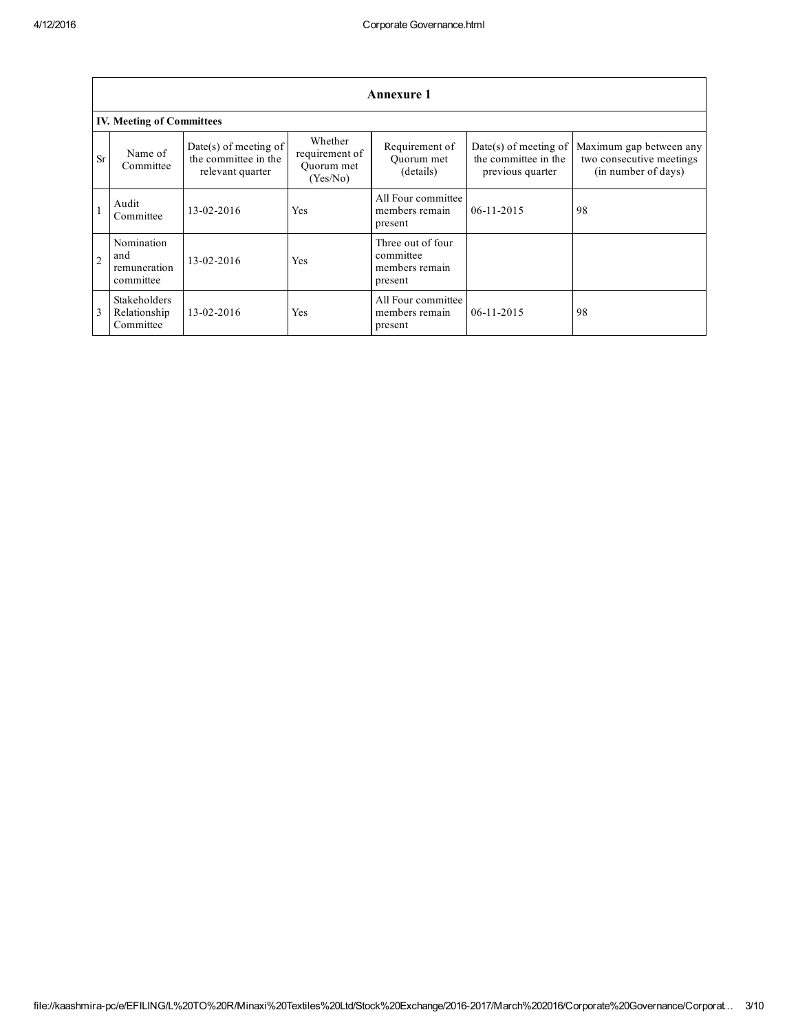|                | <b>Annexure 1</b>                              |                                                                   |                                                     |                                                             |                                                                           |                                                                            |
|----------------|------------------------------------------------|-------------------------------------------------------------------|-----------------------------------------------------|-------------------------------------------------------------|---------------------------------------------------------------------------|----------------------------------------------------------------------------|
|                | <b>IV. Meeting of Committees</b>               |                                                                   |                                                     |                                                             |                                                                           |                                                                            |
| <b>Sr</b>      | Name of<br>Committee                           | Date(s) of meeting of<br>the committee in the<br>relevant quarter | Whether<br>requirement of<br>Ouorum met<br>(Yes/No) | Requirement of<br>Ouorum met<br>(details)                   | Date(s) of meeting of $\vert$<br>the committee in the<br>previous quarter | Maximum gap between any<br>two consecutive meetings<br>(in number of days) |
|                | Audit<br>Committee                             | 13-02-2016                                                        | Yes                                                 | All Four committee<br>members remain<br>present             | $06-11-2015$                                                              | 98                                                                         |
| $\overline{2}$ | Nomination<br>and<br>remuneration<br>committee | 13-02-2016                                                        | Yes                                                 | Three out of four<br>committee<br>members remain<br>present |                                                                           |                                                                            |
|                | Stakeholders<br>Relationship<br>Committee      | 13-02-2016                                                        | Yes                                                 | All Four committee<br>members remain<br>present             | $06-11-2015$                                                              | 98                                                                         |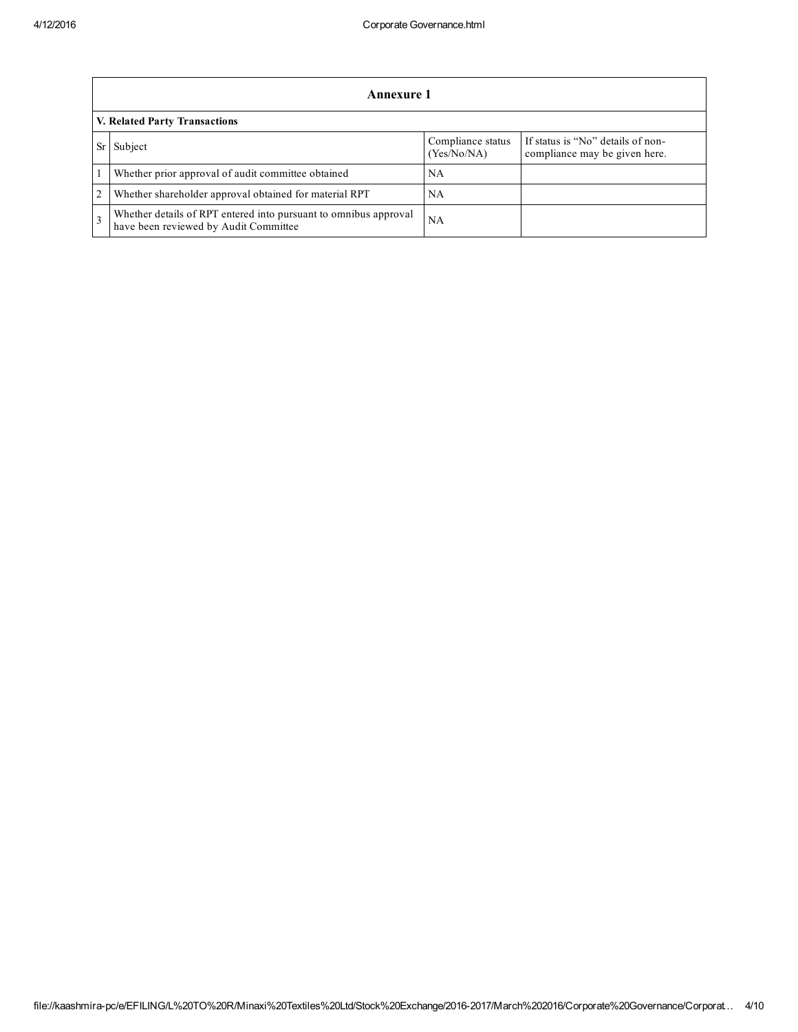|                | Annexure 1                                                                                                |                                  |                                                                    |  |  |
|----------------|-----------------------------------------------------------------------------------------------------------|----------------------------------|--------------------------------------------------------------------|--|--|
|                | V. Related Party Transactions                                                                             |                                  |                                                                    |  |  |
|                | Subject                                                                                                   | Compliance status<br>(Yes/No/NA) | If status is "No" details of non-<br>compliance may be given here. |  |  |
|                | Whether prior approval of audit committee obtained                                                        | <b>NA</b>                        |                                                                    |  |  |
| $\overline{c}$ | Whether shareholder approval obtained for material RPT                                                    | NA                               |                                                                    |  |  |
|                | Whether details of RPT entered into pursuant to omnibus approval<br>have been reviewed by Audit Committee | <b>NA</b>                        |                                                                    |  |  |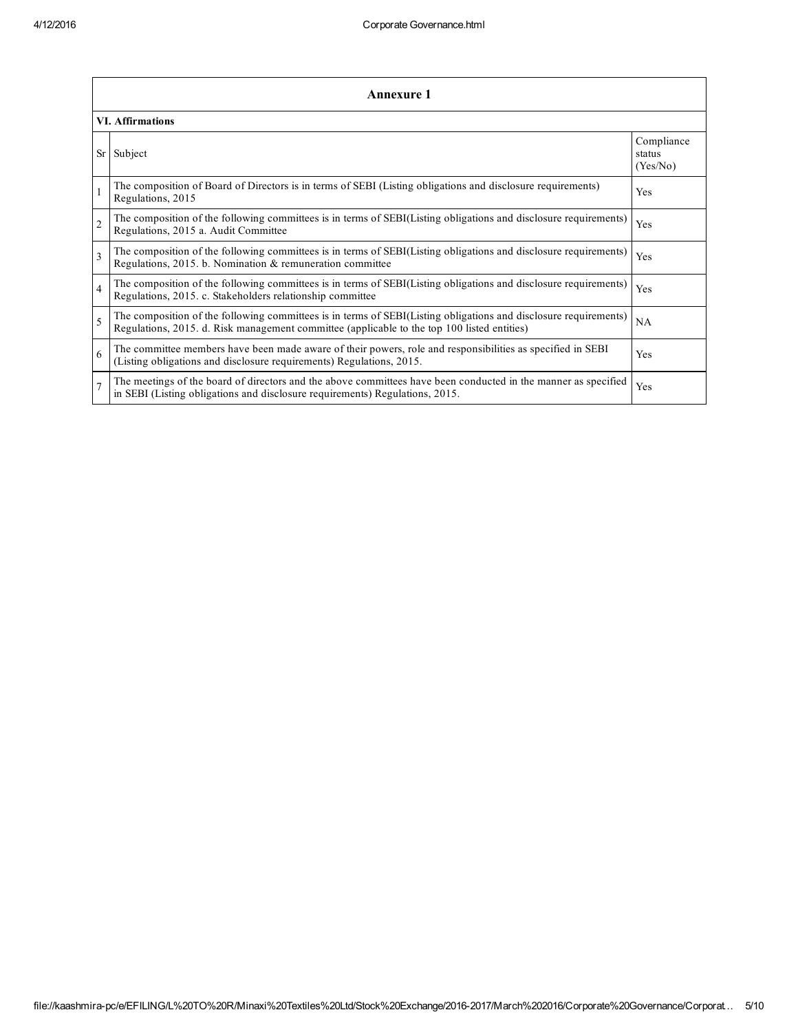|                          | <b>Annexure 1</b>                                                                                                                                                                                               |                                  |  |  |
|--------------------------|-----------------------------------------------------------------------------------------------------------------------------------------------------------------------------------------------------------------|----------------------------------|--|--|
|                          | <b>VI. Affirmations</b>                                                                                                                                                                                         |                                  |  |  |
| Sr                       | Subject                                                                                                                                                                                                         | Compliance<br>status<br>(Yes/No) |  |  |
|                          | The composition of Board of Directors is in terms of SEBI (Listing obligations and disclosure requirements)<br>Regulations, 2015                                                                                | Yes                              |  |  |
| $\mathfrak{D}$           | The composition of the following committees is in terms of SEBI(Listing obligations and disclosure requirements)<br>Regulations, 2015 a. Audit Committee                                                        | Yes                              |  |  |
| $\mathbf{3}$             | The composition of the following committees is in terms of SEBI(Listing obligations and disclosure requirements)<br>Regulations, 2015. b. Nomination & remuneration committee                                   | Yes                              |  |  |
| $\overline{4}$           | The composition of the following committees is in terms of SEBI(Listing obligations and disclosure requirements)<br>Regulations, 2015. c. Stakeholders relationship committee                                   | Yes                              |  |  |
| $\overline{\phantom{0}}$ | The composition of the following committees is in terms of SEBI(Listing obligations and disclosure requirements)<br>Regulations, 2015. d. Risk management committee (applicable to the top 100 listed entities) | NA                               |  |  |
| 6                        | The committee members have been made aware of their powers, role and responsibilities as specified in SEBI<br>(Listing obligations and disclosure requirements) Regulations, 2015.                              | Yes                              |  |  |
|                          | The meetings of the board of directors and the above committees have been conducted in the manner as specified<br>in SEBI (Listing obligations and disclosure requirements) Regulations, 2015.                  | Yes                              |  |  |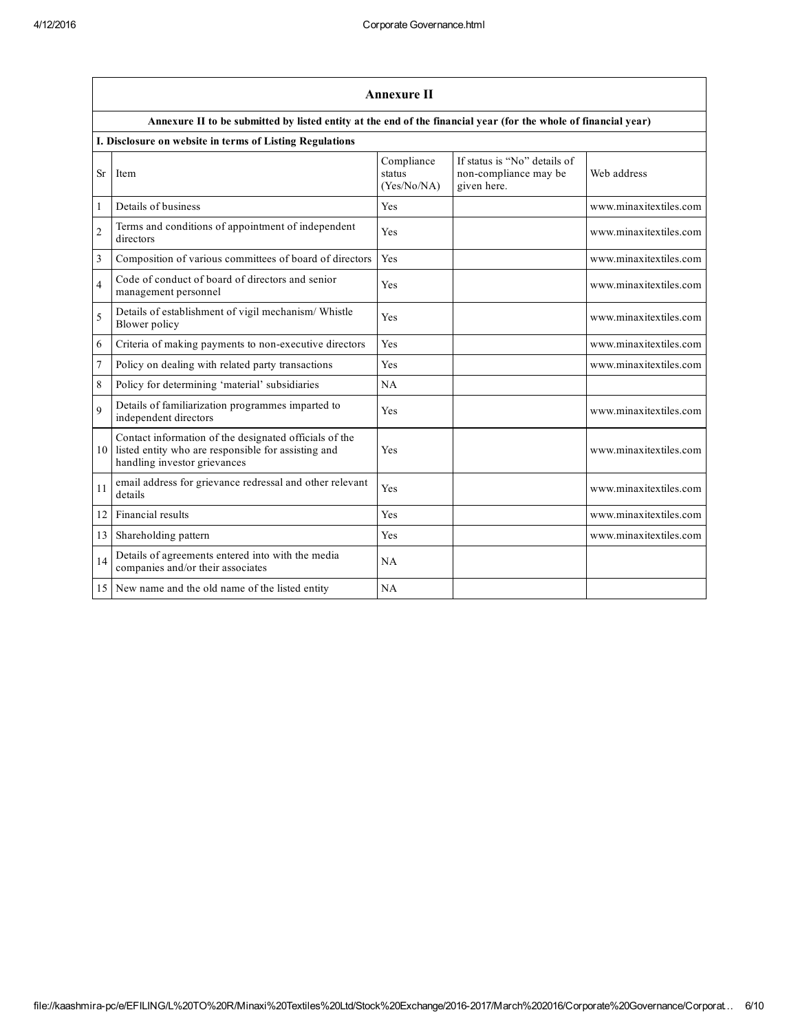|                | <b>Annexure II</b>                                                                                                                            |                                     |                                                                      |                        |  |  |
|----------------|-----------------------------------------------------------------------------------------------------------------------------------------------|-------------------------------------|----------------------------------------------------------------------|------------------------|--|--|
|                | Annexure II to be submitted by listed entity at the end of the financial year (for the whole of financial year)                               |                                     |                                                                      |                        |  |  |
|                | I. Disclosure on website in terms of Listing Regulations                                                                                      |                                     |                                                                      |                        |  |  |
| <b>Sr</b>      | Item                                                                                                                                          | Compliance<br>status<br>(Yes/No/NA) | If status is "No" details of<br>non-compliance may be<br>given here. | Web address            |  |  |
| 1              | Details of business                                                                                                                           | Yes                                 |                                                                      | www.minaxitextiles.com |  |  |
| $\overline{c}$ | Terms and conditions of appointment of independent<br>directors                                                                               | Yes                                 |                                                                      | www.minaxitextiles.com |  |  |
| 3              | Composition of various committees of board of directors                                                                                       | Yes                                 |                                                                      | www.minaxitextiles.com |  |  |
| $\overline{4}$ | Code of conduct of board of directors and senior<br>management personnel                                                                      | Yes                                 |                                                                      | www.minaxitextiles.com |  |  |
| 5              | Details of establishment of vigil mechanism/ Whistle<br>Blower policy                                                                         | Yes                                 |                                                                      | www.minaxitextiles.com |  |  |
| 6              | Criteria of making payments to non-executive directors                                                                                        | <b>Yes</b>                          |                                                                      | www.minaxitextiles.com |  |  |
| 7              | Policy on dealing with related party transactions                                                                                             | Yes                                 |                                                                      | www.minaxitextiles.com |  |  |
| 8              | Policy for determining 'material' subsidiaries                                                                                                | NA                                  |                                                                      |                        |  |  |
| $\mathbf Q$    | Details of familiarization programmes imparted to<br>independent directors                                                                    | Yes                                 |                                                                      | www.minaxitextiles.com |  |  |
| 10             | Contact information of the designated officials of the<br>listed entity who are responsible for assisting and<br>handling investor grievances | Yes                                 |                                                                      | www.minaxitextiles.com |  |  |
| 11             | email address for grievance redressal and other relevant<br>details                                                                           | Yes                                 |                                                                      | www.minaxitextiles.com |  |  |
| 12             | Financial results                                                                                                                             | <b>Yes</b>                          |                                                                      | www.minaxitextiles.com |  |  |
| 13             | Shareholding pattern                                                                                                                          | Yes                                 |                                                                      | www.minaxitextiles.com |  |  |
| 14             | Details of agreements entered into with the media<br>companies and/or their associates                                                        | NA                                  |                                                                      |                        |  |  |
| 15             | New name and the old name of the listed entity                                                                                                | NA                                  |                                                                      |                        |  |  |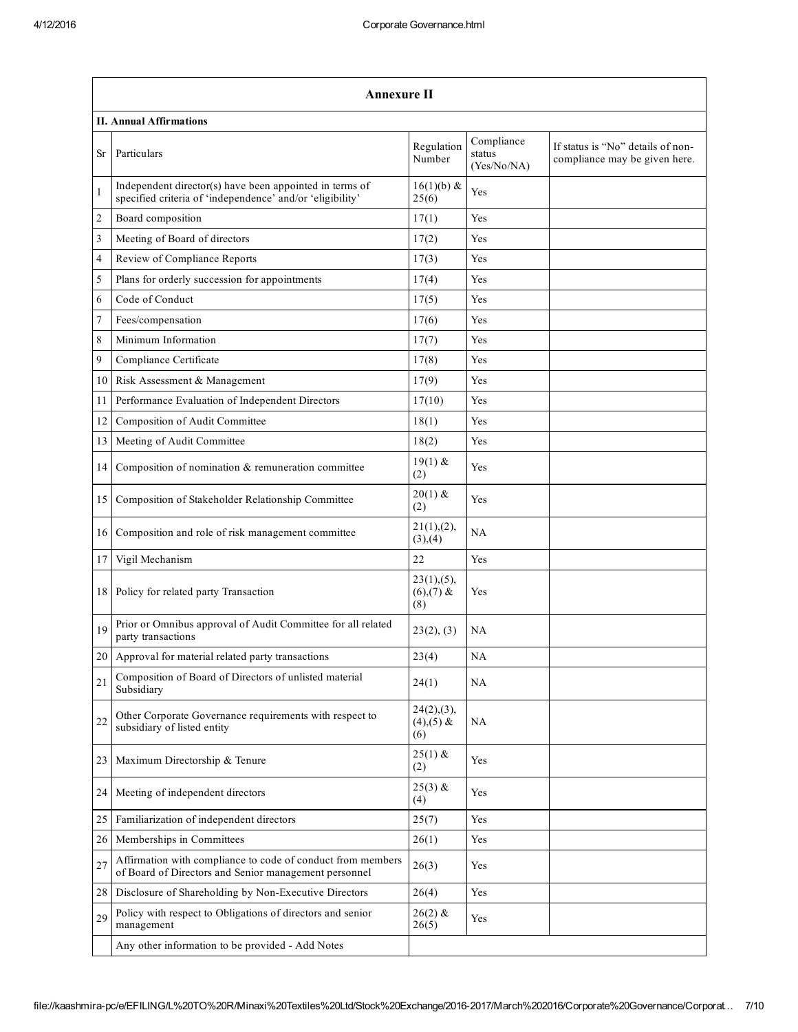|    | <b>Annexure II</b>                                                                                                   |                                      |                                     |                                                                    |  |  |
|----|----------------------------------------------------------------------------------------------------------------------|--------------------------------------|-------------------------------------|--------------------------------------------------------------------|--|--|
|    | <b>II. Annual Affirmations</b>                                                                                       |                                      |                                     |                                                                    |  |  |
| Sr | Particulars                                                                                                          | Regulation<br>Number                 | Compliance<br>status<br>(Yes/No/NA) | If status is "No" details of non-<br>compliance may be given here. |  |  |
| 1  | Independent director(s) have been appointed in terms of<br>specified criteria of 'independence' and/or 'eligibility' | $16(1)(b)$ &<br>25(6)                | Yes                                 |                                                                    |  |  |
| 2  | Board composition                                                                                                    | 17(1)                                | Yes                                 |                                                                    |  |  |
| 3  | Meeting of Board of directors                                                                                        | 17(2)                                | Yes                                 |                                                                    |  |  |
| 4  | Review of Compliance Reports                                                                                         | 17(3)                                | Yes                                 |                                                                    |  |  |
| 5  | Plans for orderly succession for appointments                                                                        | 17(4)                                | Yes                                 |                                                                    |  |  |
| 6  | Code of Conduct                                                                                                      | 17(5)                                | Yes                                 |                                                                    |  |  |
| 7  | Fees/compensation                                                                                                    | 17(6)                                | Yes                                 |                                                                    |  |  |
| 8  | Minimum Information                                                                                                  | 17(7)                                | Yes                                 |                                                                    |  |  |
| 9  | Compliance Certificate                                                                                               | 17(8)                                | Yes                                 |                                                                    |  |  |
| 10 | Risk Assessment & Management                                                                                         | 17(9)                                | Yes                                 |                                                                    |  |  |
| 11 | Performance Evaluation of Independent Directors                                                                      | 17(10)                               | Yes                                 |                                                                    |  |  |
| 12 | Composition of Audit Committee                                                                                       | 18(1)                                | Yes                                 |                                                                    |  |  |
| 13 | Meeting of Audit Committee                                                                                           | 18(2)                                | Yes                                 |                                                                    |  |  |
| 14 | Composition of nomination & remuneration committee                                                                   | $19(1)$ &<br>(2)                     | Yes                                 |                                                                    |  |  |
| 15 | Composition of Stakeholder Relationship Committee                                                                    | $20(1)$ &<br>(2)                     | Yes                                 |                                                                    |  |  |
| 16 | Composition and role of risk management committee                                                                    | 21(1), (2),<br>(3),(4)               | NA                                  |                                                                    |  |  |
| 17 | Vigil Mechanism                                                                                                      | 22                                   | Yes                                 |                                                                    |  |  |
| 18 | Policy for related party Transaction                                                                                 | 23(1), (5),<br>$(6)$ , (7) &<br>(8)  | Yes                                 |                                                                    |  |  |
| 19 | Prior or Omnibus approval of Audit Committee for all related<br>party transactions                                   | 23(2), (3)                           | NA                                  |                                                                    |  |  |
|    | 20 Approval for material related party transactions                                                                  | 23(4)                                | NA                                  |                                                                    |  |  |
| 21 | Composition of Board of Directors of unlisted material<br>Subsidiary                                                 | 24(1)                                | NA                                  |                                                                    |  |  |
| 22 | Other Corporate Governance requirements with respect to<br>subsidiary of listed entity                               | 24(2),(3),<br>$(4)$ , $(5)$ &<br>(6) | NA                                  |                                                                    |  |  |
| 23 | Maximum Directorship & Tenure                                                                                        | $25(1)$ &<br>(2)                     | Yes                                 |                                                                    |  |  |
| 24 | Meeting of independent directors                                                                                     | $25(3)$ &<br>(4)                     | Yes                                 |                                                                    |  |  |
| 25 | Familiarization of independent directors                                                                             | 25(7)                                | Yes                                 |                                                                    |  |  |
| 26 | Memberships in Committees                                                                                            | 26(1)                                | Yes                                 |                                                                    |  |  |
| 27 | Affirmation with compliance to code of conduct from members<br>of Board of Directors and Senior management personnel | 26(3)                                | Yes                                 |                                                                    |  |  |
| 28 | Disclosure of Shareholding by Non-Executive Directors                                                                | 26(4)                                | Yes                                 |                                                                    |  |  |
| 29 | Policy with respect to Obligations of directors and senior<br>management                                             | $26(2)$ &<br>26(5)                   | Yes                                 |                                                                    |  |  |
|    | Any other information to be provided - Add Notes                                                                     |                                      |                                     |                                                                    |  |  |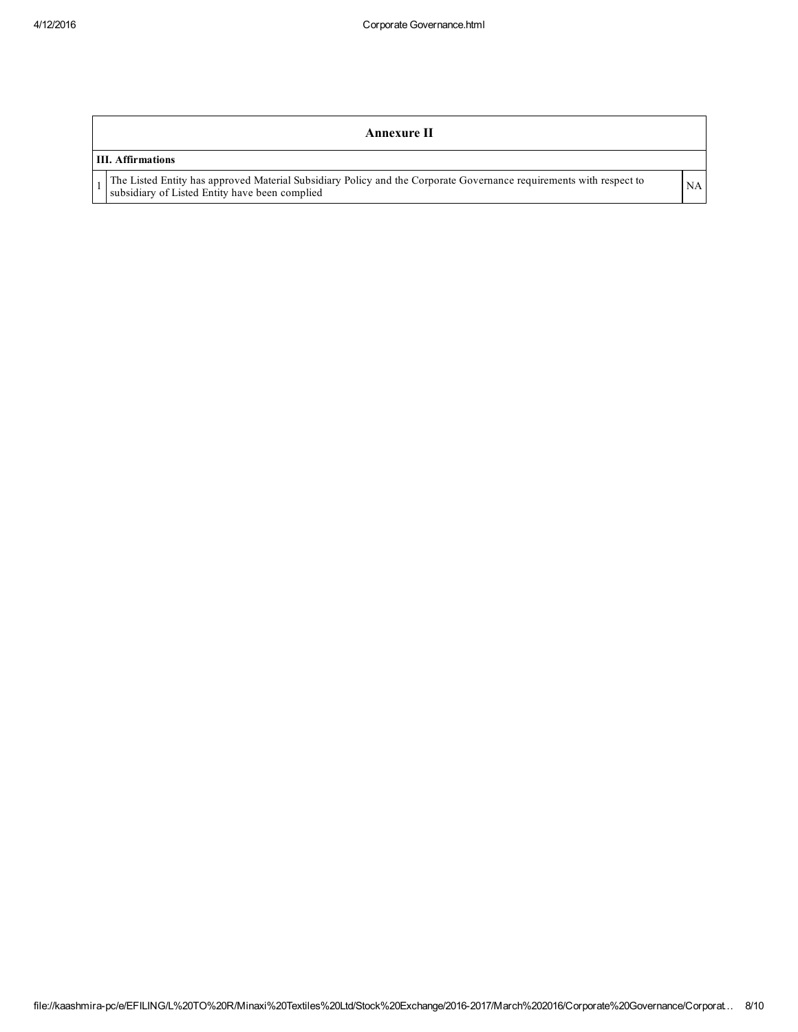## Annexure II

## III. Affirmations

1 The Listed Entity has approved Material Subsidiary Policy and the Corporate Governance requirements with respect to NA